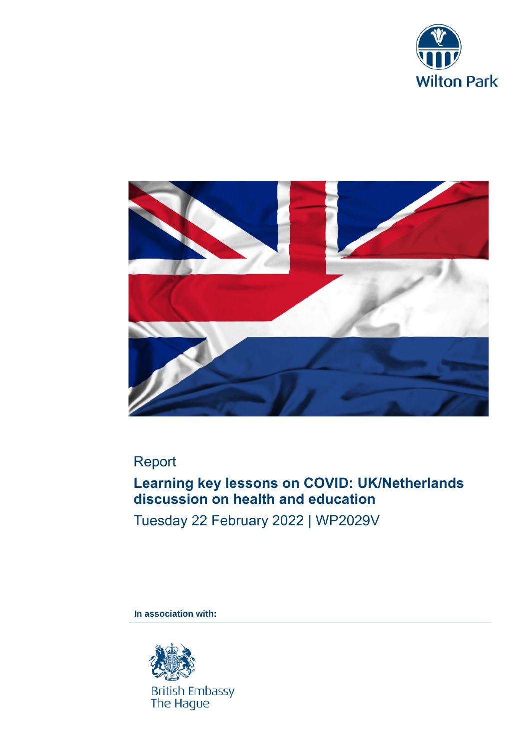



# Report

# **Learning key lessons on COVID: UK/Netherlands discussion on health and education**

Tuesday 22 February 2022 | WP2029V

**In association with:**

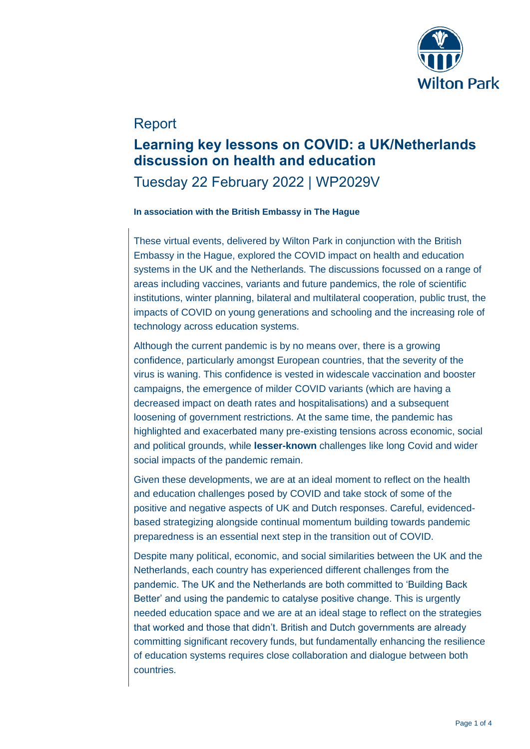

### Report

### **Learning key lessons on COVID: a UK/Netherlands discussion on health and education**

## Tuesday 22 February 2022 | WP2029V

### **In association with the British Embassy in The Hague**

These virtual events, delivered by Wilton Park in conjunction with the British Embassy in the Hague, explored the COVID impact on health and education systems in the UK and the Netherlands. The discussions focussed on a range of areas including vaccines, variants and future pandemics, the role of scientific institutions, winter planning, bilateral and multilateral cooperation, public trust, the impacts of COVID on young generations and schooling and the increasing role of technology across education systems.

Although the current pandemic is by no means over, there is a growing confidence, particularly amongst European countries, that the severity of the virus is waning. This confidence is vested in widescale vaccination and booster campaigns, the emergence of milder COVID variants (which are having a decreased impact on death rates and hospitalisations) and a subsequent loosening of government restrictions. At the same time, the pandemic has highlighted and exacerbated many pre-existing tensions across economic, social and political grounds, while **lesser-known** challenges like long Covid and wider social impacts of the pandemic remain.

Given these developments, we are at an ideal moment to reflect on the health and education challenges posed by COVID and take stock of some of the positive and negative aspects of UK and Dutch responses. Careful, evidencedbased strategizing alongside continual momentum building towards pandemic preparedness is an essential next step in the transition out of COVID.

Despite many political, economic, and social similarities between the UK and the Netherlands, each country has experienced different challenges from the pandemic. The UK and the Netherlands are both committed to 'Building Back Better' and using the pandemic to catalyse positive change. This is urgently needed education space and we are at an ideal stage to reflect on the strategies that worked and those that didn't. British and Dutch governments are already committing significant recovery funds, but fundamentally enhancing the resilience of education systems requires close collaboration and dialogue between both countries.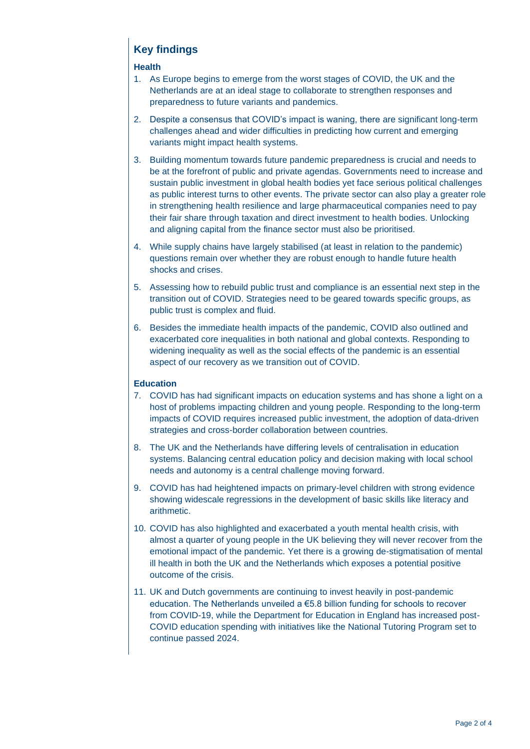### **Key findings**

#### **Health**

- 1. As Europe begins to emerge from the worst stages of COVID, the UK and the Netherlands are at an ideal stage to collaborate to strengthen responses and preparedness to future variants and pandemics.
- 2. Despite a consensus that COVID's impact is waning, there are significant long-term challenges ahead and wider difficulties in predicting how current and emerging variants might impact health systems.
- 3. Building momentum towards future pandemic preparedness is crucial and needs to be at the forefront of public and private agendas. Governments need to increase and sustain public investment in global health bodies yet face serious political challenges as public interest turns to other events. The private sector can also play a greater role in strengthening health resilience and large pharmaceutical companies need to pay their fair share through taxation and direct investment to health bodies. Unlocking and aligning capital from the finance sector must also be prioritised.
- 4. While supply chains have largely stabilised (at least in relation to the pandemic) questions remain over whether they are robust enough to handle future health shocks and crises.
- 5. Assessing how to rebuild public trust and compliance is an essential next step in the transition out of COVID. Strategies need to be geared towards specific groups, as public trust is complex and fluid.
- 6. Besides the immediate health impacts of the pandemic, COVID also outlined and exacerbated core inequalities in both national and global contexts. Responding to widening inequality as well as the social effects of the pandemic is an essential aspect of our recovery as we transition out of COVID.

#### **Education**

- 7. COVID has had significant impacts on education systems and has shone a light on a host of problems impacting children and young people. Responding to the long-term impacts of COVID requires increased public investment, the adoption of data-driven strategies and cross-border collaboration between countries.
- 8. The UK and the Netherlands have differing levels of centralisation in education systems. Balancing central education policy and decision making with local school needs and autonomy is a central challenge moving forward.
- 9. COVID has had heightened impacts on primary-level children with strong evidence showing widescale regressions in the development of basic skills like literacy and arithmetic.
- 10. COVID has also highlighted and exacerbated a youth mental health crisis, with almost a quarter of young people in the UK believing they will never recover from the emotional impact of the pandemic. Yet there is a growing de-stigmatisation of mental ill health in both the UK and the Netherlands which exposes a potential positive outcome of the crisis.
- 11. UK and Dutch governments are continuing to invest heavily in post-pandemic education. The Netherlands unveiled a €5.8 billion funding for schools to recover from COVID-19, while the Department for Education in England has increased post-COVID education spending with initiatives like the National Tutoring Program set to continue passed 2024.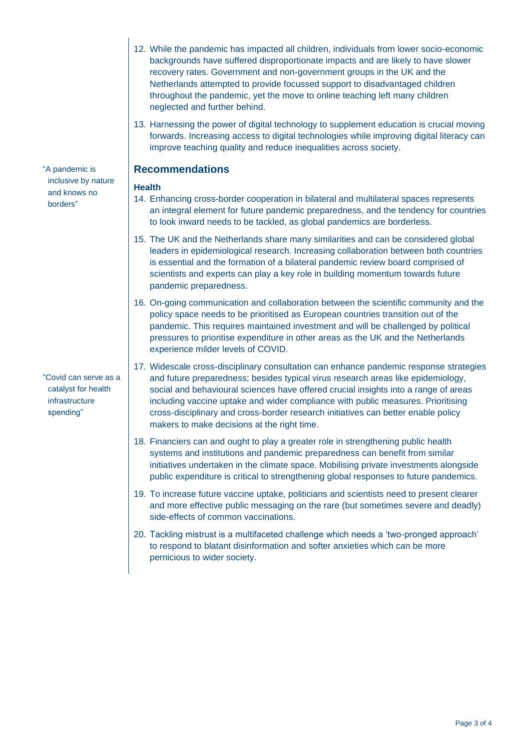- 12. While the pandemic has impacted all children, individuals from lower socio-economic backgrounds have suffered disproportionate impacts and are likely to have slower recovery rates. Government and non-government groups in the UK and the Netherlands attempted to provide focussed support to disadvantaged children throughout the pandemic, yet the move to online teaching left many children neglected and further behind.
- 13. Harnessing the power of digital technology to supplement education is crucial moving forwards. Increasing access to digital technologies while improving digital literacy can improve teaching quality and reduce inequalities across society.

### **Recommendations**

### **Health**

- 14. Enhancing cross-border cooperation in bilateral and multilateral spaces represents an integral element for future pandemic preparedness, and the tendency for countries to look inward needs to be tackled, as global pandemics are borderless.
- 15. The UK and the Netherlands share many similarities and can be considered global leaders in epidemiological research. Increasing collaboration between both countries is essential and the formation of a bilateral pandemic review board comprised of scientists and experts can play a key role in building momentum towards future pandemic preparedness.
- 16. On-going communication and collaboration between the scientific community and the policy space needs to be prioritised as European countries transition out of the pandemic. This requires maintained investment and will be challenged by political pressures to prioritise expenditure in other areas as the UK and the Netherlands experience milder levels of COVID.
- 17. Widescale cross-disciplinary consultation can enhance pandemic response strategies and future preparedness; besides typical virus research areas like epidemiology, social and behavioural sciences have offered crucial insights into a range of areas including vaccine uptake and wider compliance with public measures. Prioritising cross-disciplinary and cross-border research initiatives can better enable policy makers to make decisions at the right time.
- 18. Financiers can and ought to play a greater role in strengthening public health systems and institutions and pandemic preparedness can benefit from similar initiatives undertaken in the climate space. Mobilising private investments alongside public expenditure is critical to strengthening global responses to future pandemics.
- 19. To increase future vaccine uptake, politicians and scientists need to present clearer and more effective public messaging on the rare (but sometimes severe and deadly) side-effects of common vaccinations.
- 20. Tackling mistrust is a multifaceted challenge which needs a 'two-pronged approach' to respond to blatant disinformation and softer anxieties which can be more pernicious to wider society.

"A pandemic is inclusive by nature and knows no borders"

"Covid can serve as a catalyst for health infrastructure spending"